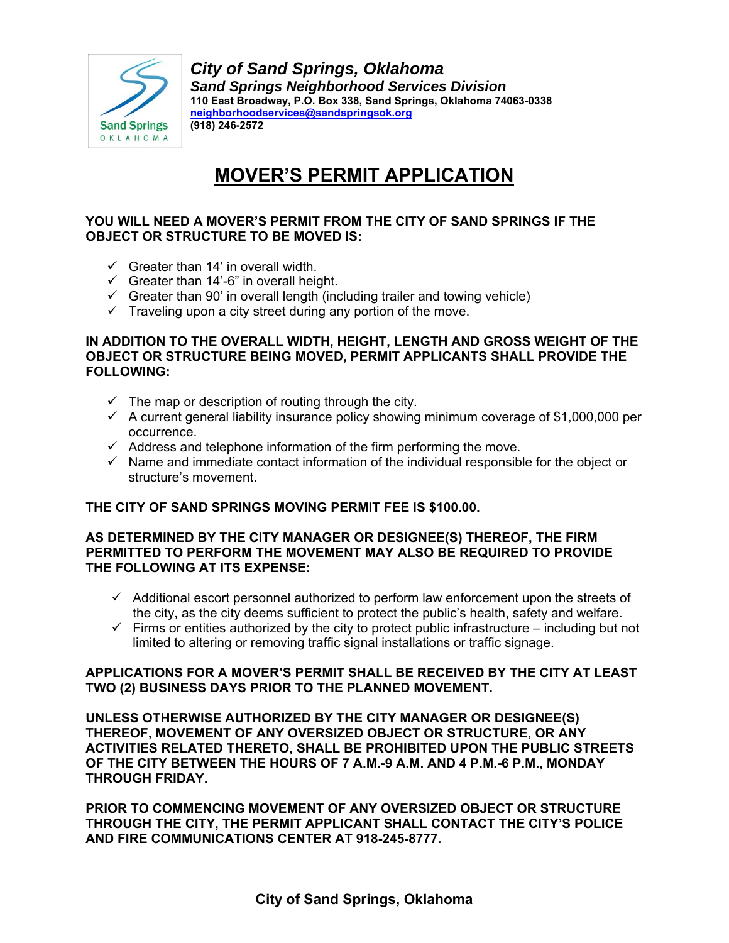

*City of Sand Springs, Oklahoma Sand Springs Neighborhood Services Division*  **110 East Broadway, P.O. Box 338, Sand Springs, Oklahoma 74063-0338 neighborhoodservices@sandspringsok.org (918) 246-2572** 

# **MOVER'S PERMIT APPLICATION**

#### **YOU WILL NEED A MOVER'S PERMIT FROM THE CITY OF SAND SPRINGS IF THE OBJECT OR STRUCTURE TO BE MOVED IS:**

- $\checkmark$  Greater than 14' in overall width.
- $\checkmark$  Greater than 14'-6" in overall height.
- Greater than 90' in overall length (including trailer and towing vehicle)
- $\checkmark$  Traveling upon a city street during any portion of the move.

#### **IN ADDITION TO THE OVERALL WIDTH, HEIGHT, LENGTH AND GROSS WEIGHT OF THE OBJECT OR STRUCTURE BEING MOVED, PERMIT APPLICANTS SHALL PROVIDE THE FOLLOWING:**

- $\checkmark$  The map or description of routing through the city.
- $\checkmark$  A current general liability insurance policy showing minimum coverage of \$1,000,000 per occurrence.
- $\checkmark$  Address and telephone information of the firm performing the move.
- $\checkmark$  Name and immediate contact information of the individual responsible for the object or structure's movement.

#### **THE CITY OF SAND SPRINGS MOVING PERMIT FEE IS \$100.00.**

#### **AS DETERMINED BY THE CITY MANAGER OR DESIGNEE(S) THEREOF, THE FIRM PERMITTED TO PERFORM THE MOVEMENT MAY ALSO BE REQUIRED TO PROVIDE THE FOLLOWING AT ITS EXPENSE:**

- $\checkmark$  Additional escort personnel authorized to perform law enforcement upon the streets of the city, as the city deems sufficient to protect the public's health, safety and welfare.
- $\checkmark$  Firms or entities authorized by the city to protect public infrastructure including but not limited to altering or removing traffic signal installations or traffic signage.

#### **APPLICATIONS FOR A MOVER'S PERMIT SHALL BE RECEIVED BY THE CITY AT LEAST TWO (2) BUSINESS DAYS PRIOR TO THE PLANNED MOVEMENT.**

**UNLESS OTHERWISE AUTHORIZED BY THE CITY MANAGER OR DESIGNEE(S) THEREOF, MOVEMENT OF ANY OVERSIZED OBJECT OR STRUCTURE, OR ANY ACTIVITIES RELATED THERETO, SHALL BE PROHIBITED UPON THE PUBLIC STREETS OF THE CITY BETWEEN THE HOURS OF 7 A.M.-9 A.M. AND 4 P.M.-6 P.M., MONDAY THROUGH FRIDAY.** 

**PRIOR TO COMMENCING MOVEMENT OF ANY OVERSIZED OBJECT OR STRUCTURE THROUGH THE CITY, THE PERMIT APPLICANT SHALL CONTACT THE CITY'S POLICE AND FIRE COMMUNICATIONS CENTER AT 918-245-8777.**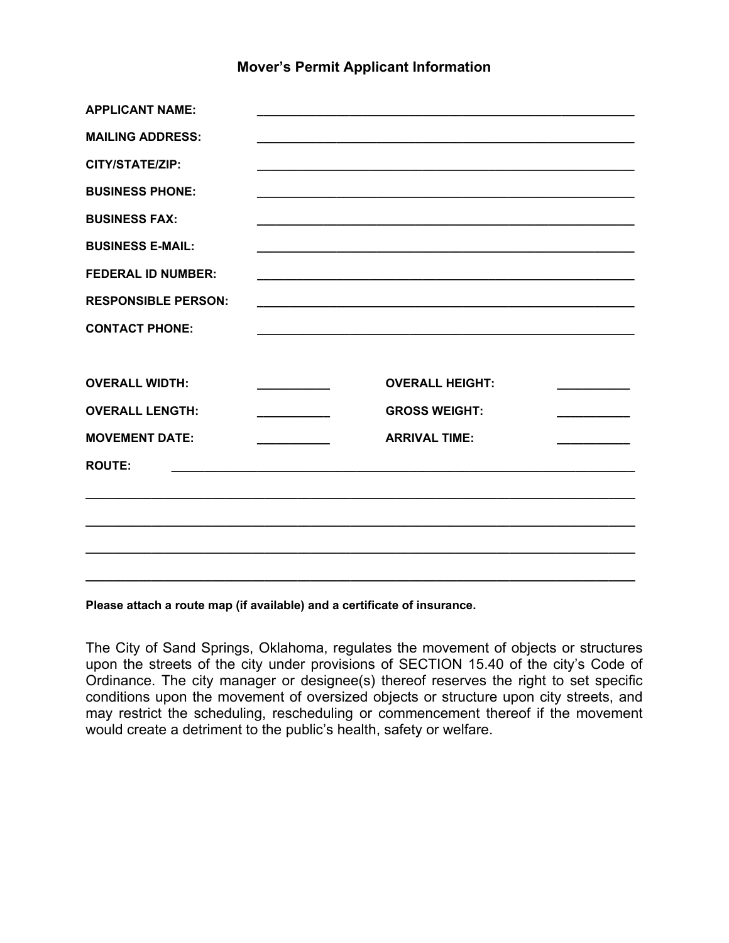| <b>Mover's Permit Applicant Information</b> |
|---------------------------------------------|
|---------------------------------------------|

| <b>APPLICANT NAME:</b>     |                                                 |                                                                                                                      |  |
|----------------------------|-------------------------------------------------|----------------------------------------------------------------------------------------------------------------------|--|
| <b>MAILING ADDRESS:</b>    |                                                 |                                                                                                                      |  |
| CITY/STATE/ZIP:            |                                                 |                                                                                                                      |  |
| <b>BUSINESS PHONE:</b>     |                                                 |                                                                                                                      |  |
| <b>BUSINESS FAX:</b>       |                                                 | <u> 1989 - Johann Barbara, martxa alemaniar argametra (h. 1989).</u>                                                 |  |
| <b>BUSINESS E-MAIL:</b>    |                                                 |                                                                                                                      |  |
| <b>FEDERAL ID NUMBER:</b>  |                                                 |                                                                                                                      |  |
| <b>RESPONSIBLE PERSON:</b> |                                                 |                                                                                                                      |  |
| <b>CONTACT PHONE:</b>      |                                                 | <u> 1990 - Jan James James James James James James James James James James James James James James James James J</u> |  |
|                            |                                                 |                                                                                                                      |  |
| <b>OVERALL WIDTH:</b>      | <u> 1990 - Johann Barnett, fransk politiker</u> | <b>OVERALL HEIGHT:</b>                                                                                               |  |
| <b>OVERALL LENGTH:</b>     |                                                 | <b>GROSS WEIGHT:</b>                                                                                                 |  |
| <b>MOVEMENT DATE:</b>      | $\overline{\phantom{a}}$                        | <b>ARRIVAL TIME:</b>                                                                                                 |  |
| <b>ROUTE:</b>              |                                                 |                                                                                                                      |  |
|                            |                                                 |                                                                                                                      |  |
|                            |                                                 |                                                                                                                      |  |
|                            |                                                 |                                                                                                                      |  |
|                            |                                                 |                                                                                                                      |  |

**Please attach a route map (if available) and a certificate of insurance.** 

The City of Sand Springs, Oklahoma, regulates the movement of objects or structures upon the streets of the city under provisions of SECTION 15.40 of the city's Code of Ordinance. The city manager or designee(s) thereof reserves the right to set specific conditions upon the movement of oversized objects or structure upon city streets, and may restrict the scheduling, rescheduling or commencement thereof if the movement would create a detriment to the public's health, safety or welfare.